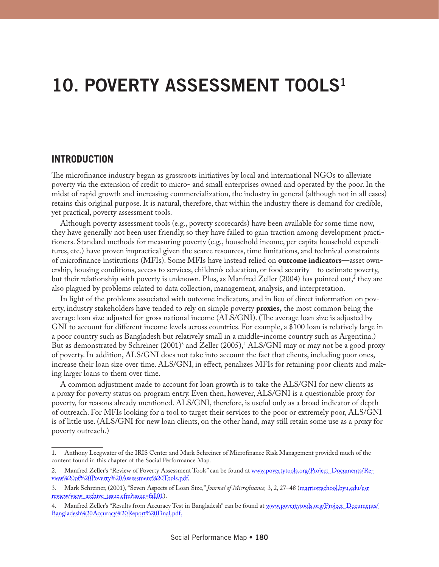# **10. POVERTY ASSESSMENT TOOLS1**

## **INTRODUCTION**

The microfinance industry began as grassroots initiatives by local and international NGOs to alleviate poverty via the extension of credit to micro- and small enterprises owned and operated by the poor. In the midst of rapid growth and increasing commercialization, the industry in general (although not in all cases) retains this original purpose. It is natural, therefore, that within the industry there is demand for credible, yet practical, poverty assessment tools.

Although poverty assessment tools (e.g., poverty scorecards) have been available for some time now, they have generally not been user friendly, so they have failed to gain traction among development practitioners. Standard methods for measuring poverty (e.g., household income, per capita household expenditures, etc.) have proven impractical given the scarce resources, time limitations, and technical constraints of microfinance institutions (MFIs). Some MFIs have instead relied on **outcome indicators**—asset ownership, housing conditions, access to services, children's education, or food security—to estimate poverty, but their relationship with poverty is unknown. Plus, as Manfred Zeller (2004) has pointed out, $^2$  they are also plagued by problems related to data collection, management, analysis, and interpretation.

In light of the problems associated with outcome indicators, and in lieu of direct information on poverty, industry stakeholders have tended to rely on simple poverty **proxies,** the most common being the average loan size adjusted for gross national income (ALS/GNI). (The average loan size is adjusted by GNI to account for different income levels across countries. For example, a \$100 loan is relatively large in a poor country such as Bangladesh but relatively small in a middle-income country such as Argentina.) But as demonstrated by Schreiner (2001)<sup>3</sup> and Zeller (2005),<sup>4</sup> ALS/GNI may or may not be a good proxy of poverty. In addition, ALS/GNI does not take into account the fact that clients, including poor ones, increase their loan size over time. ALS/GNI, in effect, penalizes MFIs for retaining poor clients and making larger loans to them over time.

A common adjustment made to account for loan growth is to take the ALS/GNI for new clients as a proxy for poverty status on program entry. Even then, however, ALS/GNI is a questionable proxy for poverty, for reasons already mentioned. ALS/GNI, therefore, is useful only as a broad indicator of depth of outreach. For MFIs looking for a tool to target their services to the poor or extremely poor, ALS/GNI is of little use. (ALS/GNI for new loan clients, on the other hand, may still retain some use as a proxy for poverty outreach.)

<sup>1.</sup> Anthony Leegwater of the IRIS Center and Mark Schreiner of Microfinance Risk Management provided much of the content found in this chapter of the Social Performance Map.

<sup>2.</sup> Manfred Zeller's "Review of Poverty Assessment Tools" can be found at [www.povertytools.org/Project\\_Documents/Re](http://www.povertytools.org/Project_Documents/Review of Poverty Assessment Tools.pdf)[view%20of%20Poverty%20Assessment%20Tools.pdf](http://www.povertytools.org/Project_Documents/Review of Poverty Assessment Tools.pdf).

<sup>3.</sup> Mark Schreiner, (2001), "Seven Aspects of Loan Size," *Journal of Microfinance,* 3, 2, 27–48 [\(marriottschool.byu.edu/esr](http://marriottschool.byu.edu/esrreview/view_archive_issue.cfm?issue=fall01) [review/view\\_archive\\_issue.cfm?issue=fall01\)](http://marriottschool.byu.edu/esrreview/view_archive_issue.cfm?issue=fall01).

<sup>4.</sup> Manfred Zeller's "Results from Accuracy Test in Bangladesh" can be found at [www.povertytools.org/Project\\_Documents/](http://www.povertytools.org/Project_Documents/Bangladesh Accuracy Report Final.pdf) [Bangladesh%20Accuracy%20Report%20Final.pdf.](http://www.povertytools.org/Project_Documents/Bangladesh Accuracy Report Final.pdf)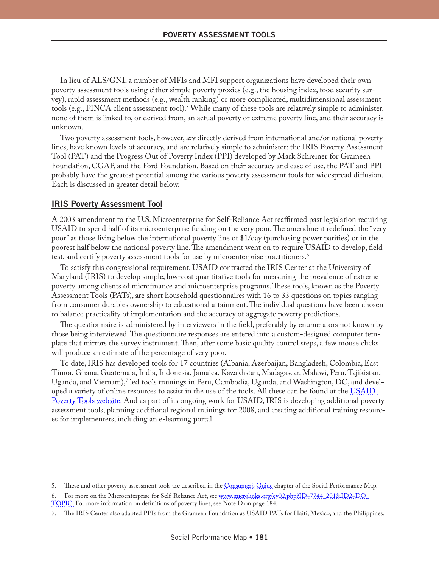In lieu of ALS/GNI, a number of MFIs and MFI support organizations have developed their own poverty assessment tools using either simple poverty proxies (e.g., the housing index, food security survey), rapid assessment methods (e.g., wealth ranking) or more complicated, multidimensional assessment tools (e.g., FINCA client assessment tool).<sup>5</sup> While many of these tools are relatively simple to administer, none of them is linked to, or derived from, an actual poverty or extreme poverty line, and their accuracy is unknown.

Two poverty assessment tools, however, *are* directly derived from international and/or national poverty lines, have known levels of accuracy, and are relatively simple to administer: the IRIS Poverty Assessment Tool (PAT) and the Progress Out of Poverty Index (PPI) developed by Mark Schreiner for Grameen Foundation, CGAP, and the Ford Foundation. Based on their accuracy and ease of use, the PAT and PPI probably have the greatest potential among the various poverty assessment tools for widespread diffusion. Each is discussed in greater detail below.

#### **IRIS Poverty Assessment Tool**

A 2003 amendment to the U.S. Microenterprise for Self-Reliance Act reaffirmed past legislation requiring USAID to spend half of its microenterprise funding on the very poor. The amendment redefined the "very poor" as those living below the international poverty line of \$1/day (purchasing power parities) or in the poorest half below the national poverty line. The amendment went on to require USAID to develop, field test, and certify poverty assessment tools for use by microenterprise practitioners.<sup>6</sup>

To satisfy this congressional requirement, USAID contracted the IRIS Center at the University of Maryland (IRIS) to develop simple, low-cost quantitative tools for measuring the prevalence of extreme poverty among clients of microfinance and microenterprise programs. These tools, known as the Poverty Assessment Tools (PATs), are short household questionnaires with 16 to 33 questions on topics ranging from consumer durables ownership to educational attainment. The individual questions have been chosen to balance practicality of implementation and the accuracy of aggregate poverty predictions.

The questionnaire is administered by interviewers in the field, preferably by enumerators not known by those being interviewed. The questionnaire responses are entered into a custom-designed computer template that mirrors the survey instrument. Then, after some basic quality control steps, a few mouse clicks will produce an estimate of the percentage of very poor.

To date, IRIS has developed tools for 17 countries (Albania, Azerbaijan, Bangladesh, Colombia, East Timor, Ghana, Guatemala, India, Indonesia, Jamaica, Kazakhstan, Madagascar, Malawi, Peru, Tajikistan, Uganda, and Vietnam),′ led tools trainings in Peru, Cambodia, Uganda, and Washington, DC, and developed a variety of online resources to assist in the use of the tools. All these can be found at the USAID. [Poverty Tools website.](www.povertytools.org) And as part of its ongoing work for USAID, IRIS is developing additional poverty assessment tools, planning additional regional trainings for 2008, and creating additional training resources for implementers, including an e-learning portal.

<sup>5.</sup> These and other poverty assessment tools are described in the Consumer's Guide chapter of the Social Performance Map.

For more on the Microenterprise for Self-Reliance Act, see [www.microlinks.org/ev02.php?ID=7744\\_201&ID2=DO\\_](http://www.microlinks.org/ev02.php?ID=7744_201&ID2=DO_TOPIC) [TOPIC](http://www.microlinks.org/ev02.php?ID=7744_201&ID2=DO_TOPIC). For more information on definitions of poverty lines, see Note D on page 184.

<sup>7.</sup> The IRIS Center also adapted PPIs from the Grameen Foundation as USAID PATs for Haiti, Mexico, and the Philippines.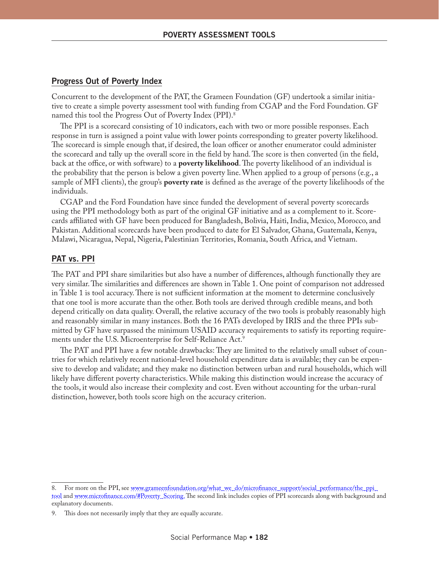#### **Progress Out of Poverty Index**

Concurrent to the development of the PAT, the Grameen Foundation (GF) undertook a similar initiative to create a simple poverty assessment tool with funding from CGAP and the Ford Foundation. GF named this tool the Progress Out of Poverty Index (PPI).8

The PPI is a scorecard consisting of 10 indicators, each with two or more possible responses. Each response in turn is assigned a point value with lower points corresponding to greater poverty likelihood. The scorecard is simple enough that, if desired, the loan officer or another enumerator could administer the scorecard and tally up the overall score in the field by hand. The score is then converted (in the field, back at the office, or with software) to a **poverty likelihood**. The poverty likelihood of an individual is the probability that the person is below a given poverty line. When applied to a group of persons (e.g., a sample of MFI clients), the group's **poverty rate** is defined as the average of the poverty likelihoods of the individuals.

CGAP and the Ford Foundation have since funded the development of several poverty scorecards using the PPI methodology both as part of the original GF initiative and as a complement to it. Scorecards affiliated with GF have been produced for Bangladesh, Bolivia, Haiti, India, Mexico, Morocco, and Pakistan. Additional scorecards have been produced to date for El Salvador, Ghana, Guatemala, Kenya, Malawi, Nicaragua, Nepal, Nigeria, Palestinian Territories, Romania, South Africa, and Vietnam.

### **PAT vs. PPI**

The PAT and PPI share similarities but also have a number of differences, although functionally they are very similar. The similarities and differences are shown in Table 1. One point of comparison not addressed in Table 1 is tool accuracy. There is not sufficient information at the moment to determine conclusively that one tool is more accurate than the other. Both tools are derived through credible means, and both depend critically on data quality. Overall, the relative accuracy of the two tools is probably reasonably high and reasonably similar in many instances. Both the 16 PATs developed by IRIS and the three PPIs submitted by GF have surpassed the minimum USAID accuracy requirements to satisfy its reporting requirements under the U.S. Microenterprise for Self-Reliance Act.<sup>9</sup>

The PAT and PPI have a few notable drawbacks: They are limited to the relatively small subset of countries for which relatively recent national-level household expenditure data is available; they can be expensive to develop and validate; and they make no distinction between urban and rural households, which will likely have different poverty characteristics. While making this distinction would increase the accuracy of the tools, it would also increase their complexity and cost. Even without accounting for the urban-rural distinction, however, both tools score high on the accuracy criterion.

<sup>8.</sup> For more on the PPI, see [www.grameenfoundation.org/what\\_we\\_do/microfinance\\_support/social\\_performance/the\\_ppi\\_](http://www.grameenfoundation.org/what_we_do/microfinance_support/social_performance/the_ppi_tool/) [tool](http://www.grameenfoundation.org/what_we_do/microfinance_support/social_performance/the_ppi_tool/) and [www.microfinance.com/#Poverty\\_Scoring.](http://www.microfinance.com/#Poverty_Scoring) The second link includes copies of PPI scorecards along with background and explanatory documents.

This does not necessarily imply that they are equally accurate.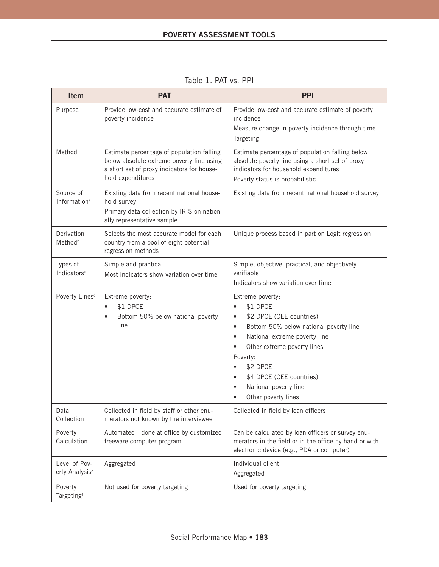| Item                                        | <b>PAT</b>                                                                                                                                                | <b>PPI</b>                                                                                                                                                                                                                                                                                                         |
|---------------------------------------------|-----------------------------------------------------------------------------------------------------------------------------------------------------------|--------------------------------------------------------------------------------------------------------------------------------------------------------------------------------------------------------------------------------------------------------------------------------------------------------------------|
| Purpose                                     | Provide low-cost and accurate estimate of<br>poverty incidence                                                                                            | Provide low-cost and accurate estimate of poverty<br>incidence<br>Measure change in poverty incidence through time<br>Targeting                                                                                                                                                                                    |
| Method                                      | Estimate percentage of population falling<br>below absolute extreme poverty line using<br>a short set of proxy indicators for house-<br>hold expenditures | Estimate percentage of population falling below<br>absolute poverty line using a short set of proxy<br>indicators for household expenditures<br>Poverty status is probabilistic                                                                                                                                    |
| Source of<br>Information <sup>a</sup>       | Existing data from recent national house-<br>hold survey<br>Primary data collection by IRIS on nation-<br>ally representative sample                      | Existing data from recent national household survey                                                                                                                                                                                                                                                                |
| Derivation<br>Method <sup>b</sup>           | Selects the most accurate model for each<br>country from a pool of eight potential<br>regression methods                                                  | Unique process based in part on Logit regression                                                                                                                                                                                                                                                                   |
| Types of<br>Indicators <sup>c</sup>         | Simple and practical<br>Most indicators show variation over time                                                                                          | Simple, objective, practical, and objectively<br>verifiable<br>Indicators show variation over time                                                                                                                                                                                                                 |
| Poverty Lines <sup>d</sup>                  | Extreme poverty:<br>\$1 DPCE<br>$\bullet$<br>Bottom 50% below national poverty<br>$\bullet$<br>line                                                       | Extreme poverty:<br>\$1 DPCE<br>$\bullet$<br>\$2 DPCE (CEE countries)<br>Bottom 50% below national poverty line<br>$\bullet$<br>National extreme poverty line<br>$\bullet$<br>Other extreme poverty lines<br>Poverty:<br>\$2 DPCE<br>\$4 DPCE (CEE countries)<br>National poverty line<br>٠<br>Other poverty lines |
| Data<br>Collection                          | Collected in field by staff or other enu-<br>merators not known by the interviewee                                                                        | Collected in field by loan officers                                                                                                                                                                                                                                                                                |
| Poverty<br>Calculation                      | Automated-done at office by customized<br>freeware computer program                                                                                       | Can be calculated by loan officers or survey enu-<br>merators in the field or in the office by hand or with<br>electronic device (e.g., PDA or computer)                                                                                                                                                           |
| Level of Pov-<br>erty Analysis <sup>e</sup> | Aggregated                                                                                                                                                | Individual client<br>Aggregated                                                                                                                                                                                                                                                                                    |
| Poverty<br>Targetingf                       | Not used for poverty targeting                                                                                                                            | Used for poverty targeting                                                                                                                                                                                                                                                                                         |

Table 1. PAT vs. PPI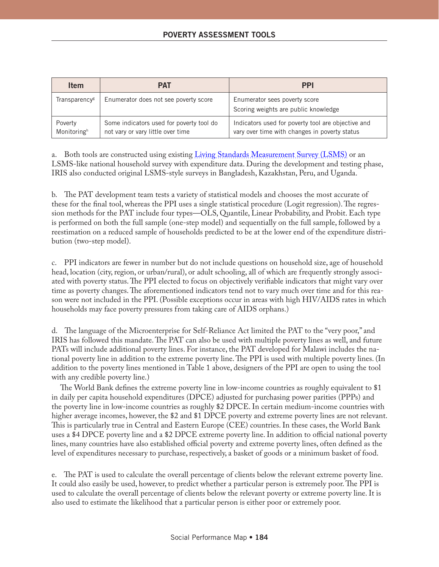| <b>Item</b>               | <b>PAT</b>                                                                    | <b>PPI</b>                                                                                          |
|---------------------------|-------------------------------------------------------------------------------|-----------------------------------------------------------------------------------------------------|
| Transparency <sup>g</sup> | Enumerator does not see poverty score                                         | Enumerator sees poverty score<br>Scoring weights are public knowledge                               |
| Poverty<br>Monitoringh    | Some indicators used for poverty tool do<br>not vary or vary little over time | Indicators used for poverty tool are objective and<br>vary over time with changes in poverty status |

a. Both tools are constructed using existing [Living Standards Measurement Survey \(LSMS\)](www.worldbank.org/LSMS) or an LSMS-like national household survey with expenditure data. During the development and testing phase, IRIS also conducted original LSMS-style surveys in Bangladesh, Kazakhstan, Peru, and Uganda.

b. The PAT development team tests a variety of statistical models and chooses the most accurate of these for the final tool, whereas the PPI uses a single statistical procedure (Logit regression). The regression methods for the PAT include four types—OLS, Quantile, Linear Probability, and Probit. Each type is performed on both the full sample (one-step model) and sequentially on the full sample, followed by a reestimation on a reduced sample of households predicted to be at the lower end of the expenditure distribution (two-step model).

c. PPI indicators are fewer in number but do not include questions on household size, age of household head, location (city, region, or urban/rural), or adult schooling, all of which are frequently strongly associated with poverty status. The PPI elected to focus on objectively verifiable indicators that might vary over time as poverty changes. The aforementioned indicators tend not to vary much over time and for this reason were not included in the PPI. (Possible exceptions occur in areas with high HIV/AIDS rates in which households may face poverty pressures from taking care of AIDS orphans.)

d. The language of the Microenterprise for Self-Reliance Act limited the PAT to the "very poor," and IRIS has followed this mandate. The PAT can also be used with multiple poverty lines as well, and future PATs will include additional poverty lines. For instance, the PAT developed for Malawi includes the national poverty line in addition to the extreme poverty line. The PPI is used with multiple poverty lines. (In addition to the poverty lines mentioned in Table 1 above, designers of the PPI are open to using the tool with any credible poverty line.)

The World Bank defines the extreme poverty line in low-income countries as roughly equivalent to \$1 in daily per capita household expenditures (DPCE) adjusted for purchasing power parities (PPPs) and the poverty line in low-income countries as roughly \$2 DPCE. In certain medium-income countries with higher average incomes, however, the \$2 and \$1 DPCE poverty and extreme poverty lines are not relevant. This is particularly true in Central and Eastern Europe (CEE) countries. In these cases, the World Bank uses a \$4 DPCE poverty line and a \$2 DPCE extreme poverty line. In addition to official national poverty lines, many countries have also established official poverty and extreme poverty lines, often defined as the level of expenditures necessary to purchase, respectively, a basket of goods or a minimum basket of food.

e. The PAT is used to calculate the overall percentage of clients below the relevant extreme poverty line. It could also easily be used, however, to predict whether a particular person is extremely poor. The PPI is used to calculate the overall percentage of clients below the relevant poverty or extreme poverty line. It is also used to estimate the likelihood that a particular person is either poor or extremely poor.